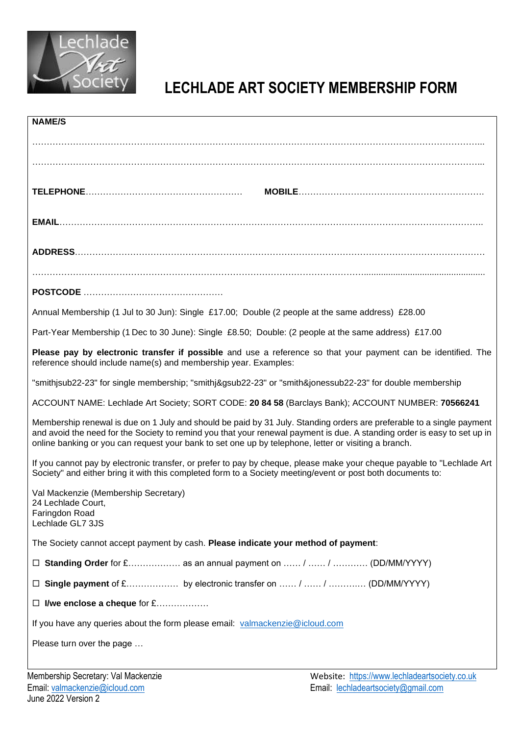

# **LECHLADE ART SOCIETY MEMBERSHIP FORM**

| <b>NAME/S</b>                                                                                                                                                                                                                                                                                                                                             |
|-----------------------------------------------------------------------------------------------------------------------------------------------------------------------------------------------------------------------------------------------------------------------------------------------------------------------------------------------------------|
|                                                                                                                                                                                                                                                                                                                                                           |
|                                                                                                                                                                                                                                                                                                                                                           |
|                                                                                                                                                                                                                                                                                                                                                           |
|                                                                                                                                                                                                                                                                                                                                                           |
|                                                                                                                                                                                                                                                                                                                                                           |
|                                                                                                                                                                                                                                                                                                                                                           |
|                                                                                                                                                                                                                                                                                                                                                           |
|                                                                                                                                                                                                                                                                                                                                                           |
| Annual Membership (1 Jul to 30 Jun): Single £17.00; Double (2 people at the same address) £28.00                                                                                                                                                                                                                                                          |
| Part-Year Membership (1 Dec to 30 June): Single £8.50; Double: (2 people at the same address) £17.00                                                                                                                                                                                                                                                      |
| Please pay by electronic transfer if possible and use a reference so that your payment can be identified. The<br>reference should include name(s) and membership year. Examples:                                                                                                                                                                          |
| "smithjsub22-23" for single membership; "smithj&gsub22-23" or "smith&jonessub22-23" for double membership                                                                                                                                                                                                                                                 |
| ACCOUNT NAME: Lechlade Art Society; SORT CODE: 20 84 58 (Barclays Bank); ACCOUNT NUMBER: 70566241                                                                                                                                                                                                                                                         |
| Membership renewal is due on 1 July and should be paid by 31 July. Standing orders are preferable to a single payment<br>and avoid the need for the Society to remind you that your renewal payment is due. A standing order is easy to set up in<br>online banking or you can request your bank to set one up by telephone, letter or visiting a branch. |
| If you cannot pay by electronic transfer, or prefer to pay by cheque, please make your cheque payable to "Lechlade Art<br>Society" and either bring it with this completed form to a Society meeting/event or post both documents to:                                                                                                                     |
| Val Mackenzie (Membership Secretary)<br>24 Lechlade Court,<br>Faringdon Road<br>Lechlade GL7 3JS                                                                                                                                                                                                                                                          |
| The Society cannot accept payment by cash. Please indicate your method of payment:                                                                                                                                                                                                                                                                        |
| <b>Standing Order</b> for £ as an annual payment on  /  /  (DD/MM/YYYY)<br>ப                                                                                                                                                                                                                                                                              |
| Single payment of £ by electronic transfer on  /  /  (DD/MM/YYYY)<br>ப                                                                                                                                                                                                                                                                                    |
| I/we enclose a cheque for £<br>ப                                                                                                                                                                                                                                                                                                                          |
| If you have any queries about the form please email: valmackenzie@icloud.com                                                                                                                                                                                                                                                                              |
| Please turn over the page                                                                                                                                                                                                                                                                                                                                 |
| Membership Secretary: Val Mackenzie<br>Website: https://www.lechladeartsociety.co.uk                                                                                                                                                                                                                                                                      |
|                                                                                                                                                                                                                                                                                                                                                           |